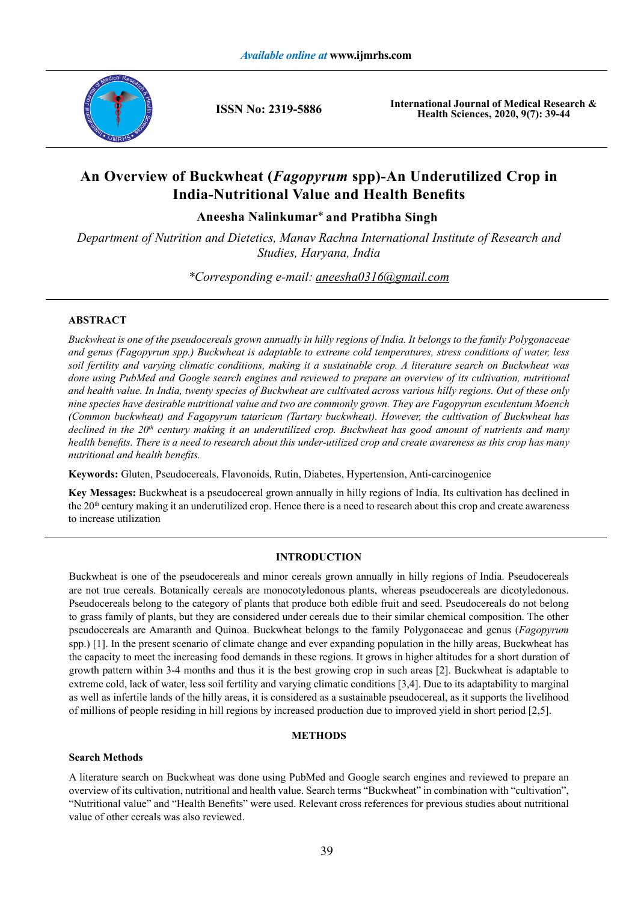

**ISSN No: 2319-5886**

**International Journal of Medical Research & Health Sciences, 2020, 9(7): 39-44**

# **An Overview of Buckwheat (***Fagopyrum* **spp)-An Underutilized Crop in India-Nutritional Value and Health Benefits**

Aneesha Nalinkumar<sup>\*</sup> and Pratibha Singh

*Department of Nutrition and Dietetics, Manav Rachna International Institute of Research and Studies, Haryana, India*

*aneesha0316@gmail.com \*Corresponding e-mail:* 

## **ABSTRACT**

*Buckwheat is one of the pseudocereals grown annually in hilly regions of India. It belongs to the family Polygonaceae and genus (Fagopyrum spp.) Buckwheat is adaptable to extreme cold temperatures, stress conditions of water, less soil fertility and varying climatic conditions, making it a sustainable crop. A literature search on Buckwheat was done using PubMed and Google search engines and reviewed to prepare an overview of its cultivation, nutritional and health value. In India, twenty species of Buckwheat are cultivated across various hilly regions. Out of these only nine species have desirable nutritional value and two are commonly grown. They are Fagopyrum esculentum Moench (Common buckwheat) and Fagopyrum tataricum (Tartary buckwheat). However, the cultivation of Buckwheat has declined in the 20th century making it an underutilized crop. Buckwheat has good amount of nutrients and many health benefits. There is a need to research about this under-utilized crop and create awareness as this crop has many nutritional and health benefits.*

**Keywords:** Gluten, Pseudocereals, Flavonoids, Rutin, Diabetes, Hypertension, Anti-carcinogenice

**Key Messages:** Buckwheat is a pseudocereal grown annually in hilly regions of India. Its cultivation has declined in the 20<sup>th</sup> century making it an underutilized crop. Hence there is a need to research about this crop and create awareness to increase utilization

## **INTRODUCTION**

Buckwheat is one of the pseudocereals and minor cereals grown annually in hilly regions of India. Pseudocereals are not true cereals. Botanically cereals are monocotyledonous plants, whereas pseudocereals are dicotyledonous. Pseudocereals belong to the category of plants that produce both edible fruit and seed. Pseudocereals do not belong to grass family of plants, but they are considered under cereals due to their similar chemical composition. The other pseudocereals are Amaranth and Quinoa. Buckwheat belongs to the family Polygonaceae and genus (*Fagopyrum* spp.) [1]. In the present scenario of climate change and ever expanding population in the hilly areas, Buckwheat has the capacity to meet the increasing food demands in these regions. It grows in higher altitudes for a short duration of growth pattern within 3-4 months and thus it is the best growing crop in such areas [2]. Buckwheat is adaptable to extreme cold, lack of water, less soil fertility and varying climatic conditions [3,4]. Due to its adaptability to marginal as well as infertile lands of the hilly areas, it is considered as a sustainable pseudocereal, as it supports the livelihood of millions of people residing in hill regions by increased production due to improved yield in short period [2,5].

#### **METHODS**

## **Search Methods**

A literature search on Buckwheat was done using PubMed and Google search engines and reviewed to prepare an overview of its cultivation, nutritional and health value. Search terms "Buckwheat" in combination with "cultivation", "Nutritional value" and "Health Benefits" were used. Relevant cross references for previous studies about nutritional value of other cereals was also reviewed.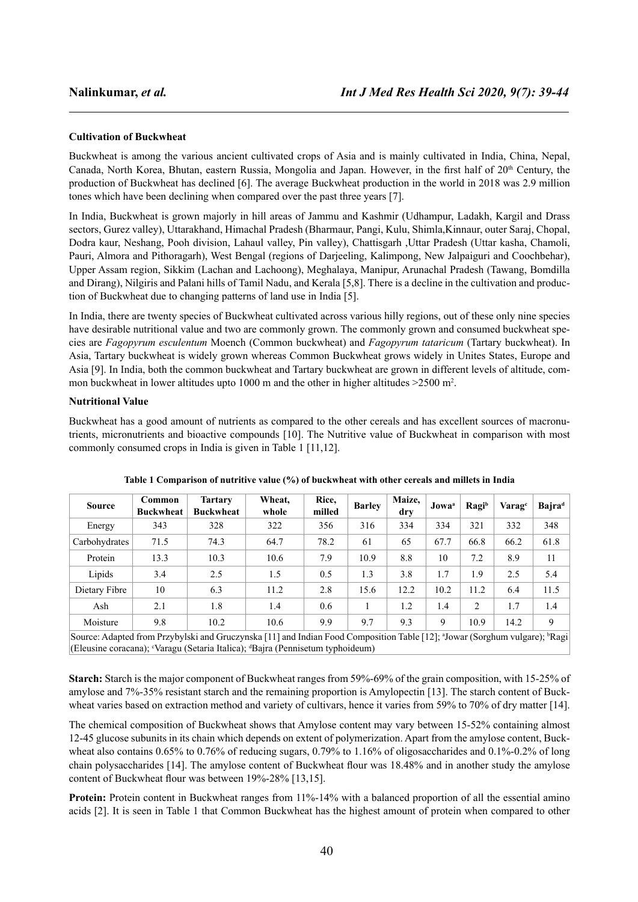#### **Cultivation of Buckwheat**

Buckwheat is among the various ancient cultivated crops of Asia and is mainly cultivated in India, China, Nepal, Canada, North Korea, Bhutan, eastern Russia, Mongolia and Japan. However, in the first half of 20<sup>th</sup> Century, the production of Buckwheat has declined [6]. The average Buckwheat production in the world in 2018 was 2.9 million tones which have been declining when compared over the past three years [7].

In India, Buckwheat is grown majorly in hill areas of Jammu and Kashmir (Udhampur, Ladakh, Kargil and Drass sectors, Gurez valley), Uttarakhand, Himachal Pradesh (Bharmaur, Pangi, Kulu, Shimla,Kinnaur, outer Saraj, Chopal, Dodra kaur, Neshang, Pooh division, Lahaul valley, Pin valley), Chattisgarh ,Uttar Pradesh (Uttar kasha, Chamoli, Pauri, Almora and Pithoragarh), West Bengal (regions of Darjeeling, Kalimpong, New Jalpaiguri and Coochbehar), Upper Assam region, Sikkim (Lachan and Lachoong), Meghalaya, Manipur, Arunachal Pradesh (Tawang, Bomdilla and Dirang), Nilgiris and Palani hills of Tamil Nadu, and Kerala [5,8]. There is a decline in the cultivation and production of Buckwheat due to changing patterns of land use in India [5].

In India, there are twenty species of Buckwheat cultivated across various hilly regions, out of these only nine species have desirable nutritional value and two are commonly grown. The commonly grown and consumed buckwheat species are *Fagopyrum esculentum* Moench (Common buckwheat) and *Fagopyrum tataricum* (Tartary buckwheat). In Asia, Tartary buckwheat is widely grown whereas Common Buckwheat grows widely in Unites States, Europe and Asia [9]. In India, both the common buckwheat and Tartary buckwheat are grown in different levels of altitude, common buckwheat in lower altitudes upto 1000 m and the other in higher altitudes  $>2500$  m<sup>2</sup>.

#### **Nutritional Value**

Buckwheat has a good amount of nutrients as compared to the other cereals and has excellent sources of macronutrients, micronutrients and bioactive compounds [10]. The Nutritive value of Buckwheat in comparison with most commonly consumed crops in India is given in Table 1 [11,12].

| <b>Source</b>                                                                                                                                                                                                                         | Common<br><b>Buckwheat</b> | <b>Tartary</b><br><b>Buckwheat</b> | Wheat.<br>whole | Rice,<br>milled | <b>Barley</b> | Maize,<br>dry | Jowa <sup>a</sup> | Ragib | Varage | Bajra <sup>d</sup> |
|---------------------------------------------------------------------------------------------------------------------------------------------------------------------------------------------------------------------------------------|----------------------------|------------------------------------|-----------------|-----------------|---------------|---------------|-------------------|-------|--------|--------------------|
| Energy                                                                                                                                                                                                                                | 343                        | 328                                | 322             | 356             | 316           | 334           | 334               | 321   | 332    | 348                |
| Carbohydrates                                                                                                                                                                                                                         | 71.5                       | 74.3                               | 64.7            | 78.2            | 61            | 65            | 67.7              | 66.8  | 66.2   | 61.8               |
| Protein                                                                                                                                                                                                                               | 13.3                       | 10.3                               | 10.6            | 7.9             | 10.9          | 8.8           | 10                | 7.2   | 8.9    | 11                 |
| Lipids                                                                                                                                                                                                                                | 3.4                        | 2.5                                | 1.5             | 0.5             | 1.3           | 3.8           | 1.7               | 1.9   | 2.5    | 5.4                |
| Dietary Fibre                                                                                                                                                                                                                         | 10                         | 6.3                                | 11.2            | 2.8             | 15.6          | 12.2          | 10.2              | 11.2  | 6.4    | 11.5               |
| Ash                                                                                                                                                                                                                                   | 2.1                        | 1.8                                | 1.4             | 0.6             |               | 1.2           | 1.4               | 2     | 1.7    | 1.4                |
| Moisture                                                                                                                                                                                                                              | 9.8                        | 10.2                               | 10.6            | 9.9             | 9.7           | 9.3           | 9                 | 10.9  | 14.2   | 9                  |
| Source: Adapted from Przybylski and Gruczynska [11] and Indian Food Composition Table [12]; <sup>a</sup> Jowar (Sorghum vulgare); <sup>b</sup> Ragi<br>(Eleusine coracana); "Varagu (Setaria Italica); "Bajra (Pennisetum typhoideum) |                            |                                    |                 |                 |               |               |                   |       |        |                    |

**Table 1 Comparison of nutritive value (%) of buckwheat with other cereals and millets in India**

**Starch:** Starch is the major component of Buckwheat ranges from 59%-69% of the grain composition, with 15-25% of amylose and 7%-35% resistant starch and the remaining proportion is Amylopectin [13]. The starch content of Buckwheat varies based on extraction method and variety of cultivars, hence it varies from 59% to 70% of dry matter [14].

The chemical composition of Buckwheat shows that Amylose content may vary between 15-52% containing almost 12-45 glucose subunits in its chain which depends on extent of polymerization. Apart from the amylose content, Buckwheat also contains 0.65% to 0.76% of reducing sugars, 0.79% to 1.16% of oligosaccharides and 0.1%-0.2% of long chain polysaccharides [14]. The amylose content of Buckwheat flour was 18.48% and in another study the amylose content of Buckwheat flour was between 19%-28% [13,15].

**Protein:** Protein content in Buckwheat ranges from 11%-14% with a balanced proportion of all the essential amino acids [2]. It is seen in Table 1 that Common Buckwheat has the highest amount of protein when compared to other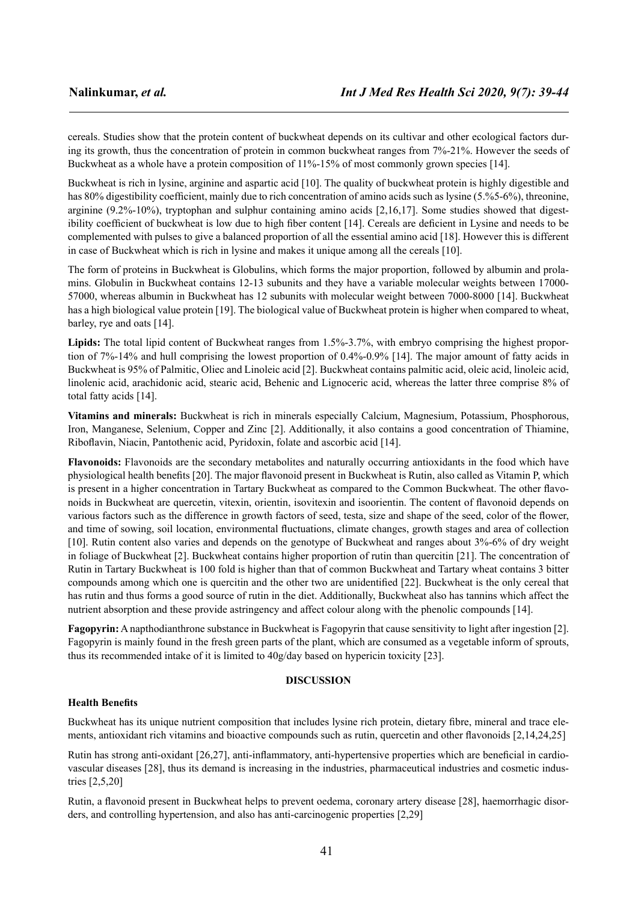cereals. Studies show that the protein content of buckwheat depends on its cultivar and other ecological factors during its growth, thus the concentration of protein in common buckwheat ranges from 7%-21%. However the seeds of Buckwheat as a whole have a protein composition of 11%-15% of most commonly grown species [14].

Buckwheat is rich in lysine, arginine and aspartic acid [10]. The quality of buckwheat protein is highly digestible and has 80% digestibility coefficient, mainly due to rich concentration of amino acids such as lysine (5.%5-6%), threonine, arginine (9.2%-10%), tryptophan and sulphur containing amino acids [2,16,17]. Some studies showed that digestibility coefficient of buckwheat is low due to high fiber content [14]. Cereals are deficient in Lysine and needs to be complemented with pulses to give a balanced proportion of all the essential amino acid [18]. However this is different in case of Buckwheat which is rich in lysine and makes it unique among all the cereals [10].

The form of proteins in Buckwheat is Globulins, which forms the major proportion, followed by albumin and prolamins. Globulin in Buckwheat contains 12-13 subunits and they have a variable molecular weights between 17000- 57000, whereas albumin in Buckwheat has 12 subunits with molecular weight between 7000-8000 [14]. Buckwheat has a high biological value protein [19]. The biological value of Buckwheat protein is higher when compared to wheat, barley, rye and oats [14].

Lipids: The total lipid content of Buckwheat ranges from 1.5%-3.7%, with embryo comprising the highest proportion of 7%-14% and hull comprising the lowest proportion of 0.4%-0.9% [14]. The major amount of fatty acids in Buckwheat is 95% of Palmitic, Oliec and Linoleic acid [2]. Buckwheat contains palmitic acid, oleic acid, linoleic acid, linolenic acid, arachidonic acid, stearic acid, Behenic and Lignoceric acid, whereas the latter three comprise 8% of total fatty acids [14].

**Vitamins and minerals:** Buckwheat is rich in minerals especially Calcium, Magnesium, Potassium, Phosphorous, Iron, Manganese, Selenium, Copper and Zinc [2]. Additionally, it also contains a good concentration of Thiamine, Riboflavin, Niacin, Pantothenic acid, Pyridoxin, folate and ascorbic acid [14].

**Flavonoids:** Flavonoids are the secondary metabolites and naturally occurring antioxidants in the food which have physiological health benefits [20]. The major flavonoid present in Buckwheat is Rutin, also called as Vitamin P, which is present in a higher concentration in Tartary Buckwheat as compared to the Common Buckwheat. The other flavonoids in Buckwheat are quercetin, vitexin, orientin, isovitexin and isoorientin. The content of flavonoid depends on various factors such as the difference in growth factors of seed, testa, size and shape of the seed, color of the flower, and time of sowing, soil location, environmental fluctuations, climate changes, growth stages and area of collection [10]. Rutin content also varies and depends on the genotype of Buckwheat and ranges about 3%-6% of dry weight in foliage of Buckwheat [2]. Buckwheat contains higher proportion of rutin than quercitin [21]. The concentration of Rutin in Tartary Buckwheat is 100 fold is higher than that of common Buckwheat and Tartary wheat contains 3 bitter compounds among which one is quercitin and the other two are unidentified [22]. Buckwheat is the only cereal that has rutin and thus forms a good source of rutin in the diet. Additionally, Buckwheat also has tannins which affect the nutrient absorption and these provide astringency and affect colour along with the phenolic compounds [14].

**Fagopyrin:** A napthodianthrone substance in Buckwheat is Fagopyrin that cause sensitivity to light after ingestion [2]. Fagopyrin is mainly found in the fresh green parts of the plant, which are consumed as a vegetable inform of sprouts, thus its recommended intake of it is limited to 40g/day based on hypericin toxicity [23].

#### **DISCUSSION**

#### **Health Benefits**

Buckwheat has its unique nutrient composition that includes lysine rich protein, dietary fibre, mineral and trace elements, antioxidant rich vitamins and bioactive compounds such as rutin, quercetin and other flavonoids [2,14,24,25]

Rutin has strong anti-oxidant [26,27], anti-inflammatory, anti-hypertensive properties which are beneficial in cardiovascular diseases [28], thus its demand is increasing in the industries, pharmaceutical industries and cosmetic industries [2,5,20]

Rutin, a flavonoid present in Buckwheat helps to prevent oedema, coronary artery disease [28], haemorrhagic disorders, and controlling hypertension, and also has anti-carcinogenic properties [2,29]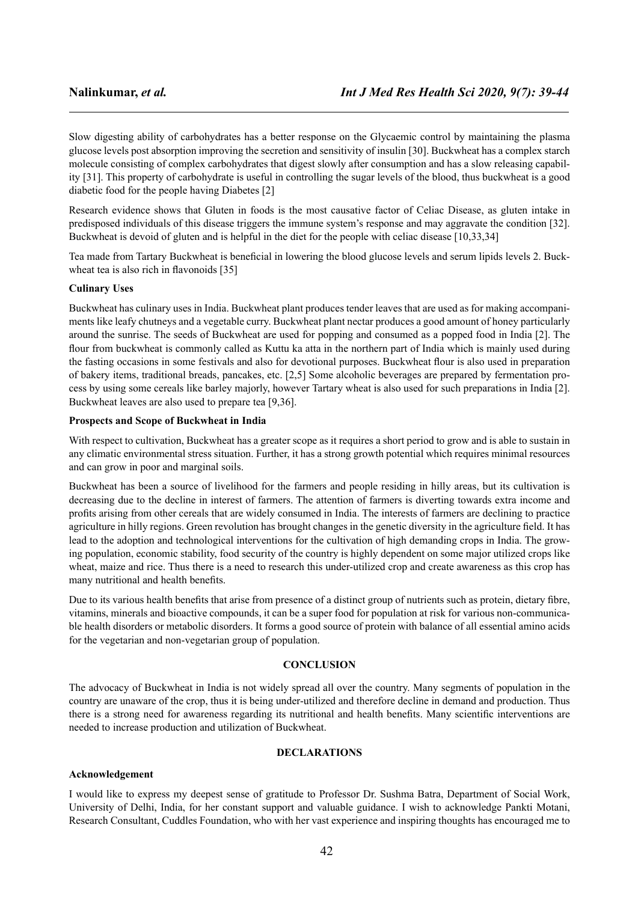Slow digesting ability of carbohydrates has a better response on the Glycaemic control by maintaining the plasma glucose levels post absorption improving the secretion and sensitivity of insulin [30]. Buckwheat has a complex starch molecule consisting of complex carbohydrates that digest slowly after consumption and has a slow releasing capability [31]. This property of carbohydrate is useful in controlling the sugar levels of the blood, thus buckwheat is a good diabetic food for the people having Diabetes [2]

Research evidence shows that Gluten in foods is the most causative factor of Celiac Disease, as gluten intake in predisposed individuals of this disease triggers the immune system's response and may aggravate the condition [32]. Buckwheat is devoid of gluten and is helpful in the diet for the people with celiac disease [10,33,34]

Tea made from Tartary Buckwheat is beneficial in lowering the blood glucose levels and serum lipids levels 2. Buckwheat tea is also rich in flavonoids [35]

#### **Culinary Uses**

Buckwheat has culinary uses in India. Buckwheat plant produces tender leaves that are used as for making accompaniments like leafy chutneys and a vegetable curry. Buckwheat plant nectar produces a good amount of honey particularly around the sunrise. The seeds of Buckwheat are used for popping and consumed as a popped food in India [2]. The flour from buckwheat is commonly called as Kuttu ka atta in the northern part of India which is mainly used during the fasting occasions in some festivals and also for devotional purposes. Buckwheat flour is also used in preparation of bakery items, traditional breads, pancakes, etc. [2,5] Some alcoholic beverages are prepared by fermentation process by using some cereals like barley majorly, however Tartary wheat is also used for such preparations in India [2]. Buckwheat leaves are also used to prepare tea [9,36].

#### **Prospects and Scope of Buckwheat in India**

With respect to cultivation, Buckwheat has a greater scope as it requires a short period to grow and is able to sustain in any climatic environmental stress situation. Further, it has a strong growth potential which requires minimal resources and can grow in poor and marginal soils.

Buckwheat has been a source of livelihood for the farmers and people residing in hilly areas, but its cultivation is decreasing due to the decline in interest of farmers. The attention of farmers is diverting towards extra income and profits arising from other cereals that are widely consumed in India. The interests of farmers are declining to practice agriculture in hilly regions. Green revolution has brought changes in the genetic diversity in the agriculture field. It has lead to the adoption and technological interventions for the cultivation of high demanding crops in India. The growing population, economic stability, food security of the country is highly dependent on some major utilized crops like wheat, maize and rice. Thus there is a need to research this under-utilized crop and create awareness as this crop has many nutritional and health benefits.

Due to its various health benefits that arise from presence of a distinct group of nutrients such as protein, dietary fibre, vitamins, minerals and bioactive compounds, it can be a super food for population at risk for various non-communicable health disorders or metabolic disorders. It forms a good source of protein with balance of all essential amino acids for the vegetarian and non-vegetarian group of population.

#### **CONCLUSION**

The advocacy of Buckwheat in India is not widely spread all over the country. Many segments of population in the country are unaware of the crop, thus it is being under-utilized and therefore decline in demand and production. Thus there is a strong need for awareness regarding its nutritional and health benefits. Many scientific interventions are needed to increase production and utilization of Buckwheat.

## **DECLARATIONS**

## **Acknowledgement**

I would like to express my deepest sense of gratitude to Professor Dr. Sushma Batra, Department of Social Work, University of Delhi, India, for her constant support and valuable guidance. I wish to acknowledge Pankti Motani, Research Consultant, Cuddles Foundation, who with her vast experience and inspiring thoughts has encouraged me to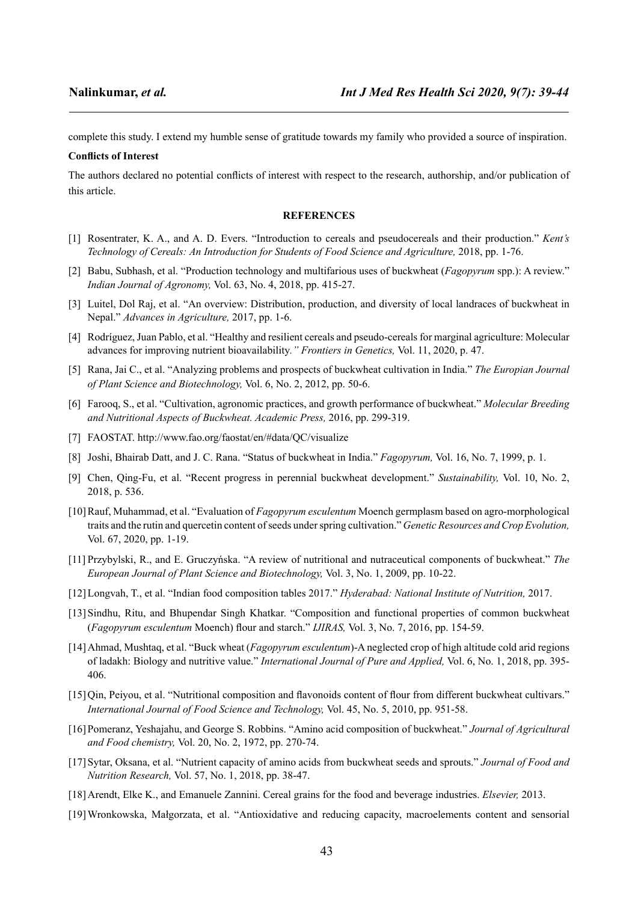complete this study. I extend my humble sense of gratitude towards my family who provided a source of inspiration.

#### **Conflicts of Interest**

The authors declared no potential conflicts of interest with respect to the research, authorship, and/or publication of this article.

#### **REFERENCES**

- [1] Rosentrater, K. A., and A. D. Evers. "Introduction to cereals and pseudocereals and their production." *Kent's Technology of Cereals: An Introduction for Students of Food Science and Agriculture,* 2018, pp. 1-76.
- [2] Babu, Subhash, et al. "Production technology and multifarious uses of buckwheat (*Fagopyrum* spp.): A review." *Indian Journal of Agronomy,* Vol. 63, No. 4, 2018, pp. 415-27.
- [3] Luitel, Dol Raj, et al. "An overview: Distribution, production, and diversity of local landraces of buckwheat in Nepal." *Advances in Agriculture,* 2017, pp. 1-6.
- [4] Rodríguez, Juan Pablo, et al. "Healthy and resilient cereals and pseudo-cereals for marginal agriculture: Molecular advances for improving nutrient bioavailability*." Frontiers in Genetics,* Vol. 11, 2020, p. 47.
- [5] Rana, Jai C., et al. "Analyzing problems and prospects of buckwheat cultivation in India." *The Europian Journal of Plant Science and Biotechnology,* Vol. 6, No. 2, 2012, pp. 50-6.
- [6] Farooq, S., et al. "Cultivation, agronomic practices, and growth performance of buckwheat." *Molecular Breeding and Nutritional Aspects of Buckwheat. Academic Press,* 2016, pp. 299-319.
- [7] FAOSTAT. http://www.fao.org/faostat/en/#data/QC/visualize
- [8] Joshi, Bhairab Datt, and J. C. Rana. "Status of buckwheat in India." *Fagopyrum,* Vol. 16, No. 7, 1999, p. 1.
- [9] Chen, Qing-Fu, et al. "Recent progress in perennial buckwheat development." *Sustainability,* Vol. 10, No. 2, 2018, p. 536.
- [10]Rauf, Muhammad, et al. "Evaluation of *Fagopyrum esculentum* Moench germplasm based on agro-morphological traits and the rutin and quercetin content of seeds under spring cultivation." *Genetic Resources and Crop Evolution,* Vol. 67, 2020, pp. 1-19.
- [11] Przybylski, R., and E. Gruczyńska. "A review of nutritional and nutraceutical components of buckwheat." *The European Journal of Plant Science and Biotechnology,* Vol. 3, No. 1, 2009, pp. 10-22.
- [12]Longvah, T., et al. "Indian food composition tables 2017." *Hyderabad: National Institute of Nutrition,* 2017.
- [13]Sindhu, Ritu, and Bhupendar Singh Khatkar. "Composition and functional properties of common buckwheat (*Fagopyrum esculentum* Moench) flour and starch." *IJIRAS,* Vol. 3, No. 7, 2016, pp. 154-59.
- [14]Ahmad, Mushtaq, et al. "Buck wheat (*Fagopyrum esculentum*)-A neglected crop of high altitude cold arid regions of ladakh: Biology and nutritive value." *International Journal of Pure and Applied,* Vol. 6, No. 1, 2018, pp. 395- 406.
- [15]Qin, Peiyou, et al. "Nutritional composition and flavonoids content of flour from different buckwheat cultivars." *International Journal of Food Science and Technology,* Vol. 45, No. 5, 2010, pp. 951-58.
- [16]Pomeranz, Yeshajahu, and George S. Robbins. "Amino acid composition of buckwheat." *Journal of Agricultural and Food chemistry,* Vol. 20, No. 2, 1972, pp. 270-74.
- [17]Sytar, Oksana, et al. "Nutrient capacity of amino acids from buckwheat seeds and sprouts." *Journal of Food and Nutrition Research,* Vol. 57, No. 1, 2018, pp. 38-47.
- [18]Arendt, Elke K., and Emanuele Zannini. Cereal grains for the food and beverage industries. *Elsevier,* 2013.
- [19]Wronkowska, Małgorzata, et al. "Antioxidative and reducing capacity, macroelements content and sensorial